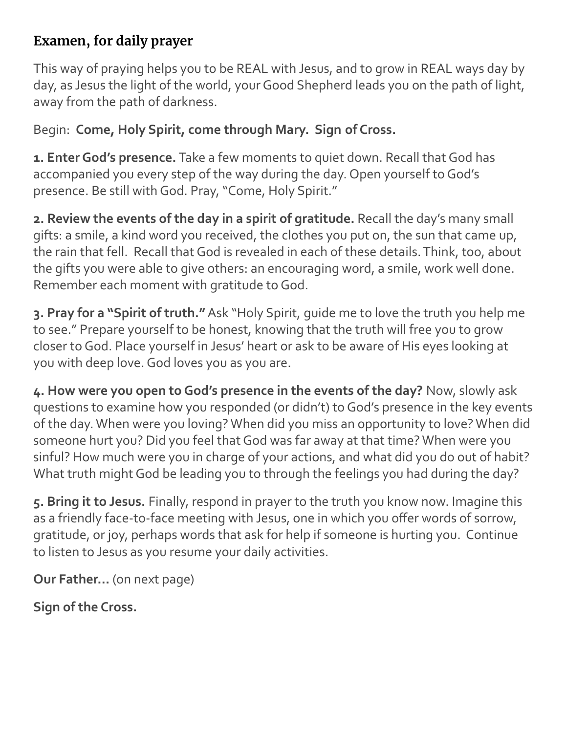## **Examen, for daily prayer**

This way of praying helps you to be REAL with Jesus, and to grow in REAL ways day by day, as Jesus the light of the world, your Good Shepherd leads you on the path of light, away from the path of darkness.

Begin: **Come, Holy Spirit, come through Mary. Sign of Cross.**

**1. Enter God's presence.** Take a few moments to quiet down. Recall that God has accompanied you every step of the way during the day. Open yourself to God's presence. Be still with God. Pray, "Come, Holy Spirit."

**2. Review the events of the day in a spirit of gratitude.** Recall the day's many small gifts: a smile, a kind word you received, the clothes you put on, the sun that came up, the rain that fell. Recall that God is revealed in each of these details. Think, too, about the gifts you were able to give others: an encouraging word, a smile, work well done. Remember each moment with gratitude to God.

**3. Pray for a "Spirit of truth."** Ask "Holy Spirit, guide me to love the truth you help me to see." Prepare yourself to be honest, knowing that the truth will free you to grow closer to God. Place yourself in Jesus' heart or ask to be aware of His eyes looking at you with deep love. God loves you as you are.

**4. How were you open to God's presence in the events of the day?** Now, slowly ask questions to examine how you responded (or didn't) to God's presence in the key events of the day. When were you loving? When did you miss an opportunity to love? When did someone hurt you? Did you feel that God was far away at that time? When were you sinful? How much were you in charge of your actions, and what did you do out of habit? What truth might God be leading you to through the feelings you had during the day?

**5. Bring it to Jesus.** Finally, respond in prayer to the truth you know now. Imagine this as a friendly face-to-face meeting with Jesus, one in which you offer words of sorrow, gratitude, or joy, perhaps words that ask for help if someone is hurting you. Continue to listen to Jesus as you resume your daily activities.

**Our Father…** (on next page)

**Sign of the Cross.**